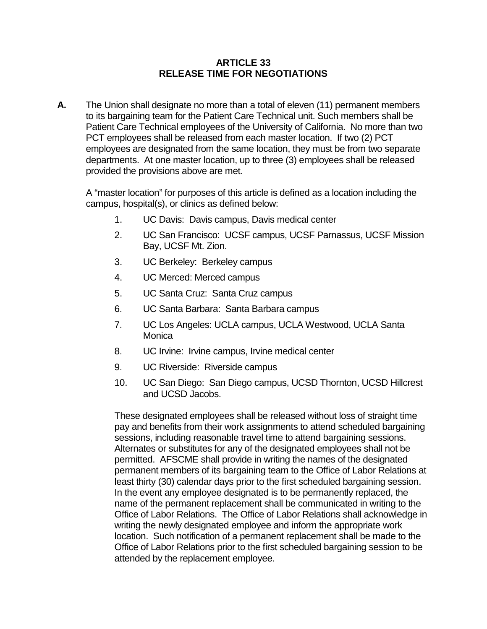## **ARTICLE 33 RELEASE TIME FOR NEGOTIATIONS**

**A.** The Union shall designate no more than a total of eleven (11) permanent members to its bargaining team for the Patient Care Technical unit. Such members shall be Patient Care Technical employees of the University of California. No more than two PCT employees shall be released from each master location. If two (2) PCT employees are designated from the same location, they must be from two separate departments. At one master location, up to three (3) employees shall be released provided the provisions above are met.

A "master location" for purposes of this article is defined as a location including the campus, hospital(s), or clinics as defined below:

- 1. UC Davis: Davis campus, Davis medical center
- 2. UC San Francisco: UCSF campus, UCSF Parnassus, UCSF Mission Bay, UCSF Mt. Zion.
- 3. UC Berkeley: Berkeley campus
- 4. UC Merced: Merced campus
- 5. UC Santa Cruz: Santa Cruz campus
- 6. UC Santa Barbara: Santa Barbara campus
- 7. UC Los Angeles: UCLA campus, UCLA Westwood, UCLA Santa Monica
- 8. UC Irvine: Irvine campus, Irvine medical center
- 9. UC Riverside: Riverside campus
- 10. UC San Diego: San Diego campus, UCSD Thornton, UCSD Hillcrest and UCSD Jacobs.

These designated employees shall be released without loss of straight time pay and benefits from their work assignments to attend scheduled bargaining sessions, including reasonable travel time to attend bargaining sessions. Alternates or substitutes for any of the designated employees shall not be permitted. AFSCME shall provide in writing the names of the designated permanent members of its bargaining team to the Office of Labor Relations at least thirty (30) calendar days prior to the first scheduled bargaining session. In the event any employee designated is to be permanently replaced, the name of the permanent replacement shall be communicated in writing to the Office of Labor Relations. The Office of Labor Relations shall acknowledge in writing the newly designated employee and inform the appropriate work location. Such notification of a permanent replacement shall be made to the Office of Labor Relations prior to the first scheduled bargaining session to be attended by the replacement employee.